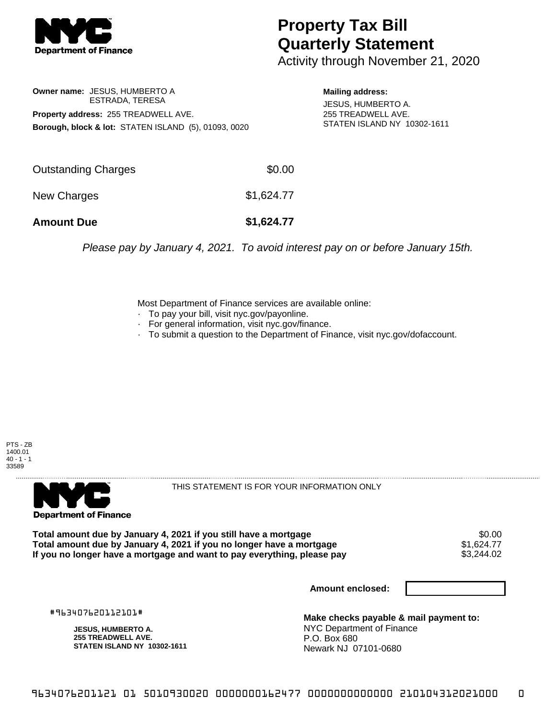

## **Property Tax Bill Quarterly Statement**

Activity through November 21, 2020

**Owner name:** JESUS, HUMBERTO A ESTRADA, TERESA **Property address:** 255 TREADWELL AVE. **Borough, block & lot:** STATEN ISLAND (5), 01093, 0020

**Mailing address:**

JESUS, HUMBERTO A. 255 TREADWELL AVE. STATEN ISLAND NY 10302-1611

| <b>Amount Due</b>   | \$1,624.77 |
|---------------------|------------|
| New Charges         | \$1,624.77 |
| Outstanding Charges | \$0.00     |

Please pay by January 4, 2021. To avoid interest pay on or before January 15th.

Most Department of Finance services are available online:

- · To pay your bill, visit nyc.gov/payonline.
- For general information, visit nyc.gov/finance.
- · To submit a question to the Department of Finance, visit nyc.gov/dofaccount.





THIS STATEMENT IS FOR YOUR INFORMATION ONLY

Total amount due by January 4, 2021 if you still have a mortgage \$0.00<br>Total amount due by January 4, 2021 if you no longer have a mortgage \$1.624.77 **Total amount due by January 4, 2021 if you no longer have a mortgage**  $$1,624.77$ **<br>If you no longer have a mortgage and want to pay everything, please pay <b>show that the summan state** S3,244.02 If you no longer have a mortgage and want to pay everything, please pay

**Amount enclosed:**

#963407620112101#

**JESUS, HUMBERTO A. 255 TREADWELL AVE. STATEN ISLAND NY 10302-1611**

**Make checks payable & mail payment to:** NYC Department of Finance P.O. Box 680 Newark NJ 07101-0680